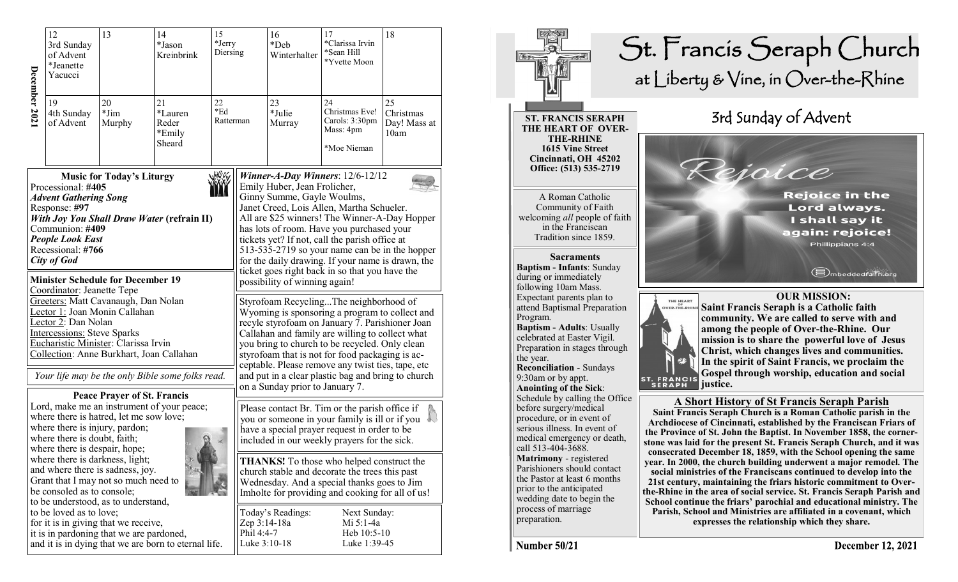|               | 12<br>13<br>3rd Sunday<br>of Advent<br>*Jeanette<br>Yacucci                                                                                                                                                                                                                                                                                                                                                                                                                                                                                                                                                  |                                                                                                                         | 14<br>*Jason<br>Kreinbrink                           | 15<br>*Jerry<br>Diersing |                                            | 16<br>*Deb<br>Winterhalter                                                                                                                                                                                                                                                                                                                                                                                                                                                                                                                                                                                                                                                                                                                                                                                                                                                                                                                   | 17<br>*Clarissa Irvin<br>*Sean Hill<br>*Yvette Moon                | 18                                      |  |
|---------------|--------------------------------------------------------------------------------------------------------------------------------------------------------------------------------------------------------------------------------------------------------------------------------------------------------------------------------------------------------------------------------------------------------------------------------------------------------------------------------------------------------------------------------------------------------------------------------------------------------------|-------------------------------------------------------------------------------------------------------------------------|------------------------------------------------------|--------------------------|--------------------------------------------|----------------------------------------------------------------------------------------------------------------------------------------------------------------------------------------------------------------------------------------------------------------------------------------------------------------------------------------------------------------------------------------------------------------------------------------------------------------------------------------------------------------------------------------------------------------------------------------------------------------------------------------------------------------------------------------------------------------------------------------------------------------------------------------------------------------------------------------------------------------------------------------------------------------------------------------------|--------------------------------------------------------------------|-----------------------------------------|--|
| December 2021 | 19<br>4th Sunday<br>of Advent                                                                                                                                                                                                                                                                                                                                                                                                                                                                                                                                                                                | 20<br>$\rm *Jim$<br>Murphy                                                                                              | 21<br>*Lauren<br>Reder<br>*Emily<br>Sheard           | 22<br>$*Ed$<br>Ratterman |                                            | 23<br>*Julie<br>Murray                                                                                                                                                                                                                                                                                                                                                                                                                                                                                                                                                                                                                                                                                                                                                                                                                                                                                                                       | 24<br>Christmas Eve!<br>Carols: 3:30pm<br>Mass: 4pm<br>*Moe Nieman | 25<br>Christmas<br>Day! Mass at<br>10am |  |
|               | .WW<br><b>Music for Today's Liturgy</b><br>Processional: #405<br><b>Advent Gathering Song</b><br>Response: #97<br><b>With Joy You Shall Draw Water (refrain II)</b><br>Communion: #409<br><b>People Look East</b><br>Recessional: #766<br>City of God<br><b>Minister Schedule for December 19</b><br>Coordinator: Jeanette Tepe<br>Greeters: Matt Cavanaugh, Dan Nolan<br>Lector 1: Joan Monin Callahan<br>Lector 2: Dan Nolan<br><b>Intercessions: Steve Sparks</b><br>Eucharistic Minister: Clarissa Irvin<br>Collection: Anne Burkhart, Joan Callahan<br>Your life may be the only Bible some folks read. |                                                                                                                         |                                                      |                          |                                            | Winner-A-Day Winners: $12/6-12/12$<br>Emily Huber, Jean Frolicher,<br>Ginny Summe, Gayle Woulms,<br>Janet Creed, Lois Allen, Martha Schueler.<br>All are \$25 winners! The Winner-A-Day Hopper<br>has lots of room. Have you purchased your<br>tickets yet? If not, call the parish office at<br>513-535-2719 so your name can be in the hopper<br>for the daily drawing. If your name is drawn, the<br>ticket goes right back in so that you have the<br>possibility of winning again!<br>Styrofoam RecyclingThe neighborhood of<br>Wyoming is sponsoring a program to collect and<br>recyle styrofoam on January 7. Parishioner Joan<br>Callahan and family are willing to collect what<br>you bring to church to be recycled. Only clean<br>styrofoam that is not for food packaging is ac-<br>ceptable. Please remove any twist ties, tape, etc<br>and put in a clear plastic bag and bring to church<br>on a Sunday prior to January 7. |                                                                    |                                         |  |
|               | <b>Peace Prayer of St. Francis</b><br>Lord, make me an instrument of your peace;<br>where there is hatred, let me sow love;<br>where there is injury, pardon;<br>where there is doubt, faith;<br>where there is despair, hope;<br>where there is darkness, light;<br>and where there is sadness, joy.<br>Grant that I may not so much need to<br>be consoled as to console;                                                                                                                                                                                                                                  |                                                                                                                         |                                                      |                          |                                            | Please contact Br. Tim or the parish office if<br>you or someone in your family is ill or if you<br>have a special prayer request in order to be<br>included in our weekly prayers for the sick.<br><b>THANKS!</b> To those who helped construct the<br>church stable and decorate the trees this past<br>Wednesday. And a special thanks goes to Jim<br>Imholte for providing and cooking for all of us!                                                                                                                                                                                                                                                                                                                                                                                                                                                                                                                                    |                                                                    |                                         |  |
|               | to be loved as to love;                                                                                                                                                                                                                                                                                                                                                                                                                                                                                                                                                                                      | to be understood, as to understand,<br>for it is in giving that we receive,<br>it is in pardoning that we are pardoned, | and it is in dying that we are born to eternal life. |                          | Zep 3:14-18a<br>Phil 4:4-7<br>Luke 3:10-18 | Today's Readings:                                                                                                                                                                                                                                                                                                                                                                                                                                                                                                                                                                                                                                                                                                                                                                                                                                                                                                                            | Next Sunday:<br>Mi 5:1-4a<br>Heb $10:5-10$<br>Luke 1:39-45         |                                         |  |